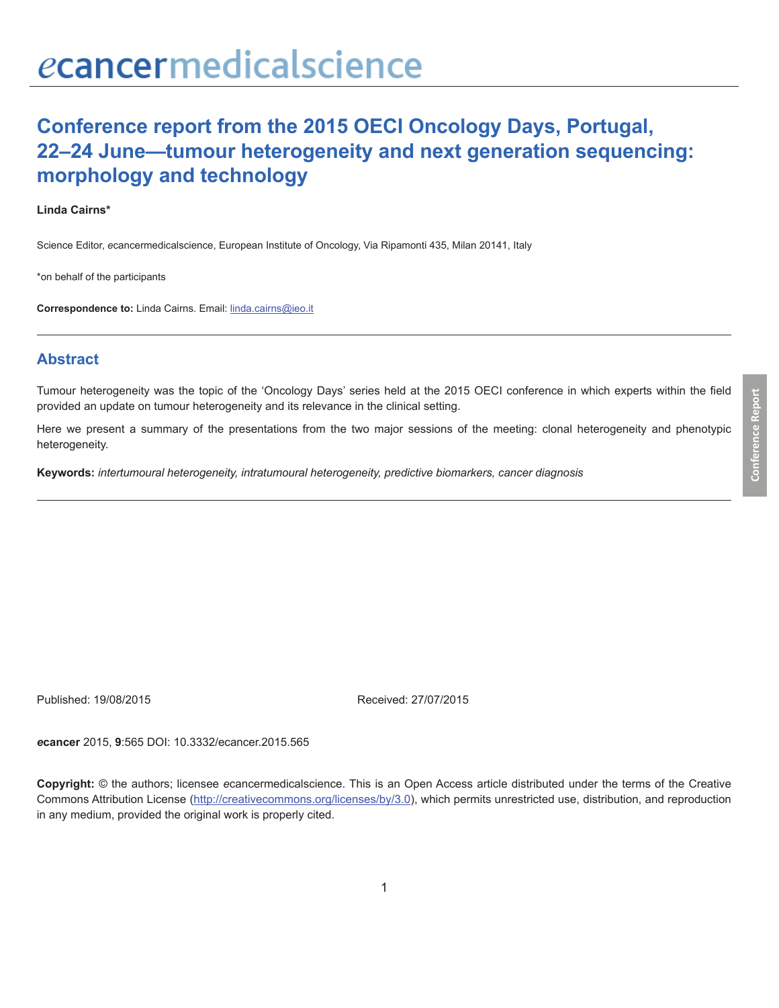# **Conference report from the 2015 OECI Oncology Days, Portugal, 22–24 June—tumour heterogeneity and next generation sequencing: morphology and technology**

#### **Linda Cairns\***

Science Editor, *e*cancermedicalscience, European Institute of Oncology, Via Ripamonti 435, Milan 20141, Italy

\*on behalf of the participants

**Correspondence to:** Linda Cairns. Email: linda.cairns@ieo.it

### **Abstract**

Tumour heterogeneity was the topic of the 'Oncology Days' series held at the 2015 OECI conference in which experts within the field provided an update on tumour heterogeneity and its relevance in the clinical setting.

Here we present a summary of the presentations from the two major sessions of the meeting: clonal heterogeneity and phenotypic heterogeneity.

**Keywords:** *intertumoural heterogeneity, intratumoural heterogeneity, predictive biomarkers, cancer diagnosis*

Published: 19/08/2015 Received: 27/07/2015

*e***cancer** 2015, **9**:565 DOI: 10.3332/ecancer.2015.565

**Copyright:** © the authors; licensee *e*cancermedicalscience. This is an Open Access article distributed under the terms of the Creative Commons Attribution License (http://creativecommons.org/licenses/by/3.0), which permits unrestricted use, distribution, and reproduction in any medium, provided the original work is properly cited.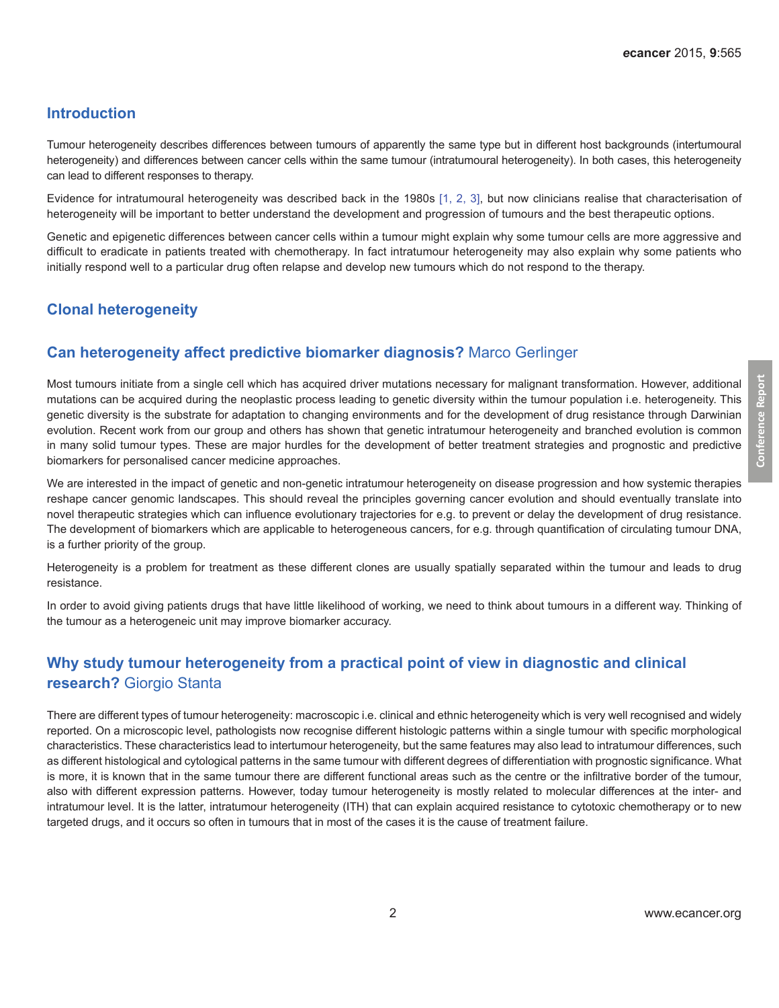#### **Introduction**

Tumour heterogeneity describes differences between tumours of apparently the same type but in different host backgrounds (intertumoural heterogeneity) and differences between cancer cells within the same tumour (intratumoural heterogeneity). In both cases, this heterogeneity can lead to different responses to therapy.

Evidence for intratumoural heterogeneity was described back in the 1980s [\[1, 2, 3\]](#page-11-0), but now clinicians realise that characterisation of heterogeneity will be important to better understand the development and progression of tumours and the best therapeutic options.

Genetic and epigenetic differences between cancer cells within a tumour might explain why some tumour cells are more aggressive and difficult to eradicate in patients treated with chemotherapy. In fact intratumour heterogeneity may also explain why some patients who initially respond well to a particular drug often relapse and develop new tumours which do not respond to the therapy.

# **Clonal heterogeneity**

## **Can heterogeneity affect predictive biomarker diagnosis?** Marco Gerlinger

Most tumours initiate from a single cell which has acquired driver mutations necessary for malignant transformation. However, additional mutations can be acquired during the neoplastic process leading to genetic diversity within the tumour population i.e. heterogeneity. This genetic diversity is the substrate for adaptation to changing environments and for the development of drug resistance through Darwinian evolution. Recent work from our group and others has shown that genetic intratumour heterogeneity and branched evolution is common in many solid tumour types. These are major hurdles for the development of better treatment strategies and prognostic and predictive biomarkers for personalised cancer medicine approaches.

We are interested in the impact of genetic and non-genetic intratumour heterogeneity on disease progression and how systemic therapies reshape cancer genomic landscapes. This should reveal the principles governing cancer evolution and should eventually translate into novel therapeutic strategies which can influence evolutionary trajectories for e.g. to prevent or delay the development of drug resistance. The development of biomarkers which are applicable to heterogeneous cancers, for e.g. through quantification of circulating tumour DNA, is a further priority of the group.

Heterogeneity is a problem for treatment as these different clones are usually spatially separated within the tumour and leads to drug resistance.

In order to avoid giving patients drugs that have little likelihood of working, we need to think about tumours in a different way. Thinking of the tumour as a heterogeneic unit may improve biomarker accuracy.

# **Why study tumour heterogeneity from a practical point of view in diagnostic and clinical research?** Giorgio Stanta

There are different types of tumour heterogeneity: macroscopic i.e. clinical and ethnic heterogeneity which is very well recognised and widely reported. On a microscopic level, pathologists now recognise different histologic patterns within a single tumour with specific morphological characteristics. These characteristics lead to intertumour heterogeneity, but the same features may also lead to intratumour differences, such as different histological and cytological patterns in the same tumour with different degrees of differentiation with prognostic significance. What is more, it is known that in the same tumour there are different functional areas such as the centre or the infiltrative border of the tumour, also with different expression patterns. However, today tumour heterogeneity is mostly related to molecular differences at the inter- and intratumour level. It is the latter, intratumour heterogeneity (ITH) that can explain acquired resistance to cytotoxic chemotherapy or to new targeted drugs, and it occurs so often in tumours that in most of the cases it is the cause of treatment failure.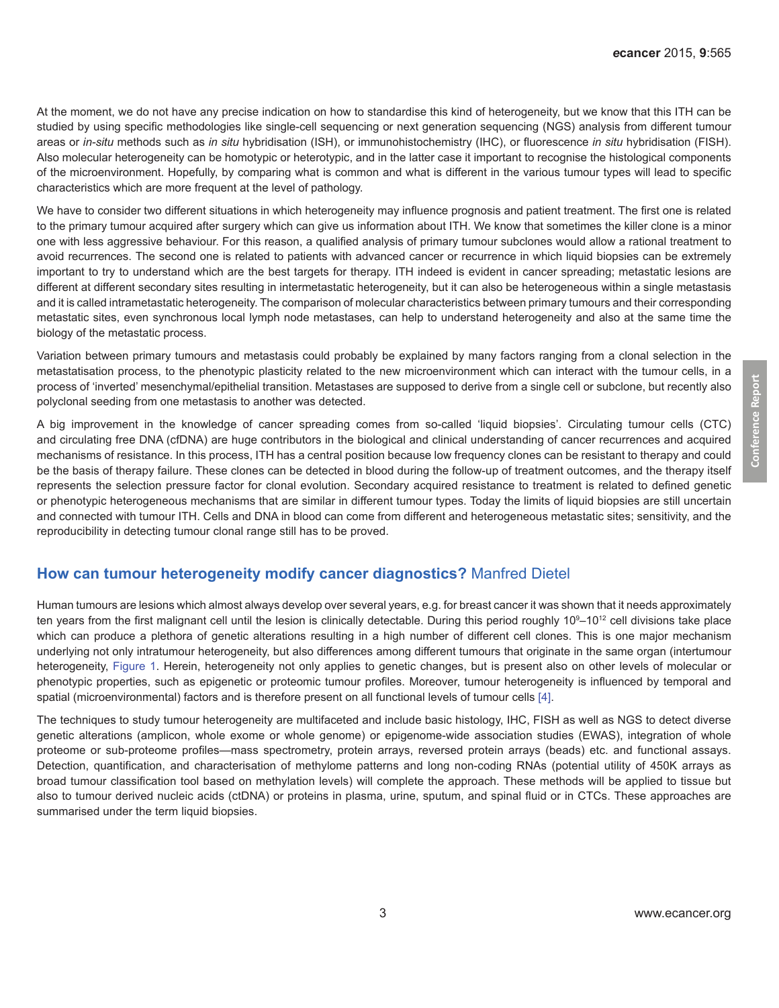At the moment, we do not have any precise indication on how to standardise this kind of heterogeneity, but we know that this ITH can be studied by using specific methodologies like single-cell sequencing or next generation sequencing (NGS) analysis from different tumour areas or *in-situ* methods such as *in situ* hybridisation (ISH), or immunohistochemistry (IHC), or fluorescence *in situ* hybridisation (FISH). Also molecular heterogeneity can be homotypic or heterotypic, and in the latter case it important to recognise the histological components of the microenvironment. Hopefully, by comparing what is common and what is different in the various tumour types will lead to specific characteristics which are more frequent at the level of pathology.

We have to consider two different situations in which heterogeneity may influence prognosis and patient treatment. The first one is related to the primary tumour acquired after surgery which can give us information about ITH. We know that sometimes the killer clone is a minor one with less aggressive behaviour. For this reason, a qualified analysis of primary tumour subclones would allow a rational treatment to avoid recurrences. The second one is related to patients with advanced cancer or recurrence in which liquid biopsies can be extremely important to try to understand which are the best targets for therapy. ITH indeed is evident in cancer spreading; metastatic lesions are different at different secondary sites resulting in intermetastatic heterogeneity, but it can also be heterogeneous within a single metastasis and it is called intrametastatic heterogeneity. The comparison of molecular characteristics between primary tumours and their corresponding metastatic sites, even synchronous local lymph node metastases, can help to understand heterogeneity and also at the same time the biology of the metastatic process.

Variation between primary tumours and metastasis could probably be explained by many factors ranging from a clonal selection in the metastatisation process, to the phenotypic plasticity related to the new microenvironment which can interact with the tumour cells, in a process of 'inverted' mesenchymal/epithelial transition. Metastases are supposed to derive from a single cell or subclone, but recently also polyclonal seeding from one metastasis to another was detected.

A big improvement in the knowledge of cancer spreading comes from so-called 'liquid biopsies'. Circulating tumour cells (CTC) and circulating free DNA (cfDNA) are huge contributors in the biological and clinical understanding of cancer recurrences and acquired mechanisms of resistance. In this process, ITH has a central position because low frequency clones can be resistant to therapy and could be the basis of therapy failure. These clones can be detected in blood during the follow-up of treatment outcomes, and the therapy itself represents the selection pressure factor for clonal evolution. Secondary acquired resistance to treatment is related to defined genetic or phenotypic heterogeneous mechanisms that are similar in different tumour types. Today the limits of liquid biopsies are still uncertain and connected with tumour ITH. Cells and DNA in blood can come from different and heterogeneous metastatic sites; sensitivity, and the reproducibility in detecting tumour clonal range still has to be proved.

#### **How can tumour heterogeneity modify cancer diagnostics?** Manfred Dietel

Human tumours are lesions which almost always develop over several years, e.g. for breast cancer it was shown that it needs approximately ten years from the first malignant cell until the lesion is clinically detectable. During this period roughly 10°–10<sup>12</sup> cell divisions take place which can produce a plethora of genetic alterations resulting in a high number of different cell clones. This is one major mechanism underlying not only intratumour heterogeneity, but also differences among different tumours that originate in the same organ (intertumour heterogeneity, [Figure 1.](#page-3-0) Herein, heterogeneity not only applies to genetic changes, but is present also on other levels of molecular or phenotypic properties, such as epigenetic or proteomic tumour profiles. Moreover, tumour heterogeneity is influenced by temporal and spatial (microenvironmental) factors and is therefore present on all functional levels of tumour cells [\[4\]](#page-11-0).

The techniques to study tumour heterogeneity are multifaceted and include basic histology, IHC, FISH as well as NGS to detect diverse genetic alterations (amplicon, whole exome or whole genome) or epigenome-wide association studies (EWAS), integration of whole proteome or sub-proteome profiles—mass spectrometry, protein arrays, reversed protein arrays (beads) etc. and functional assays. Detection, quantification, and characterisation of methylome patterns and long non-coding RNAs (potential utility of 450K arrays as broad tumour classification tool based on methylation levels) will complete the approach. These methods will be applied to tissue but also to tumour derived nucleic acids (ctDNA) or proteins in plasma, urine, sputum, and spinal fluid or in CTCs. These approaches are summarised under the term liquid biopsies.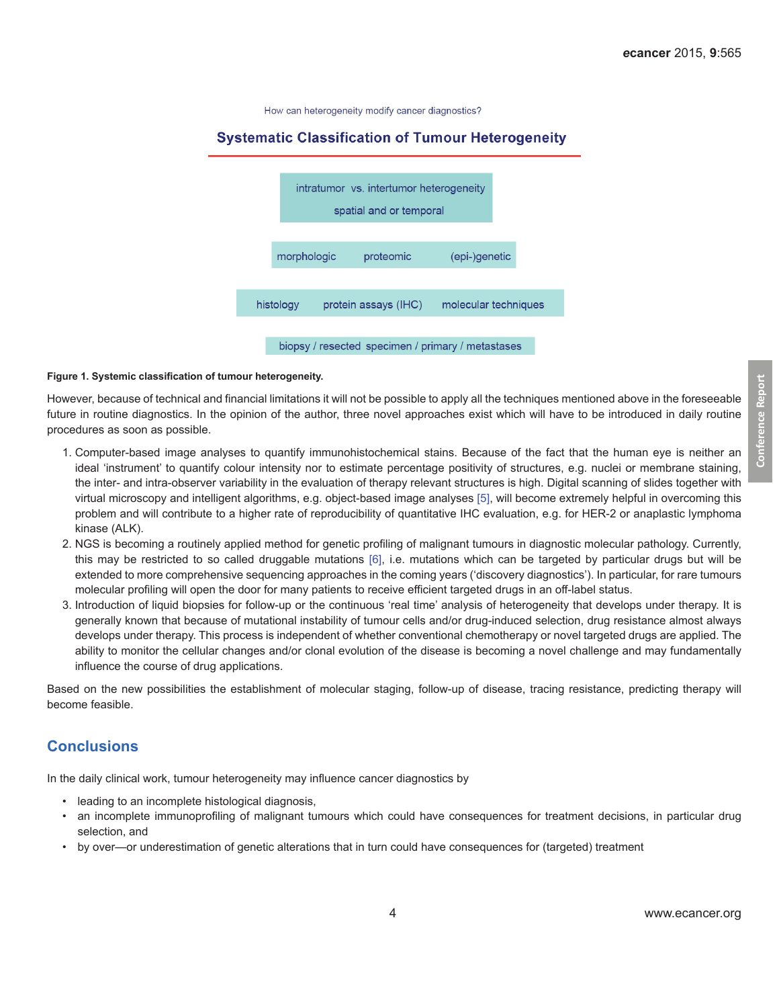How can heterogeneity modify cancer diagnostics?

#### <span id="page-3-0"></span>**Systematic Classification of Tumour Heterogeneity**



biopsy / resected specimen / primary / metastases

#### **Figure 1. Systemic classification of tumour heterogeneity.**

However, because of technical and financial limitations it will not be possible to apply all the techniques mentioned above in the foreseeable future in routine diagnostics. In the opinion of the author, three novel approaches exist which will have to be introduced in daily routine procedures as soon as possible.

- 1. Computer-based image analyses to quantify immunohistochemical stains. Because of the fact that the human eye is neither an ideal 'instrument' to quantify colour intensity nor to estimate percentage positivity of structures, e.g. nuclei or membrane staining, the inter- and intra-observer variability in the evaluation of therapy relevant structures is high. Digital scanning of slides together with virtual microscopy and intelligent algorithms, e.g. object-based image analyses [\[5\]](#page-11-0), will become extremely helpful in overcoming this problem and will contribute to a higher rate of reproducibility of quantitative IHC evaluation, e.g. for HER-2 or anaplastic lymphoma kinase (ALK).
- 2. NGS is becoming a routinely applied method for genetic profiling of malignant tumours in diagnostic molecular pathology. Currently, this may be restricted to so called druggable mutations [\[6\]](#page-11-0), i.e. mutations which can be targeted by particular drugs but will be extended to more comprehensive sequencing approaches in the coming years ('discovery diagnostics'). In particular, for rare tumours molecular profiling will open the door for many patients to receive efficient targeted drugs in an off-label status.
- 3. Introduction of liquid biopsies for follow-up or the continuous 'real time' analysis of heterogeneity that develops under therapy. It is generally known that because of mutational instability of tumour cells and/or drug-induced selection, drug resistance almost always develops under therapy. This process is independent of whether conventional chemotherapy or novel targeted drugs are applied. The ability to monitor the cellular changes and/or clonal evolution of the disease is becoming a novel challenge and may fundamentally influence the course of drug applications.

Based on the new possibilities the establishment of molecular staging, follow-up of disease, tracing resistance, predicting therapy will become feasible.

#### **Conclusions**

In the daily clinical work, tumour heterogeneity may influence cancer diagnostics by

- leading to an incomplete histological diagnosis,
- an incomplete immunoprofiling of malignant tumours which could have consequences for treatment decisions, in particular drug selection, and
- by over—or underestimation of genetic alterations that in turn could have consequences for (targeted) treatment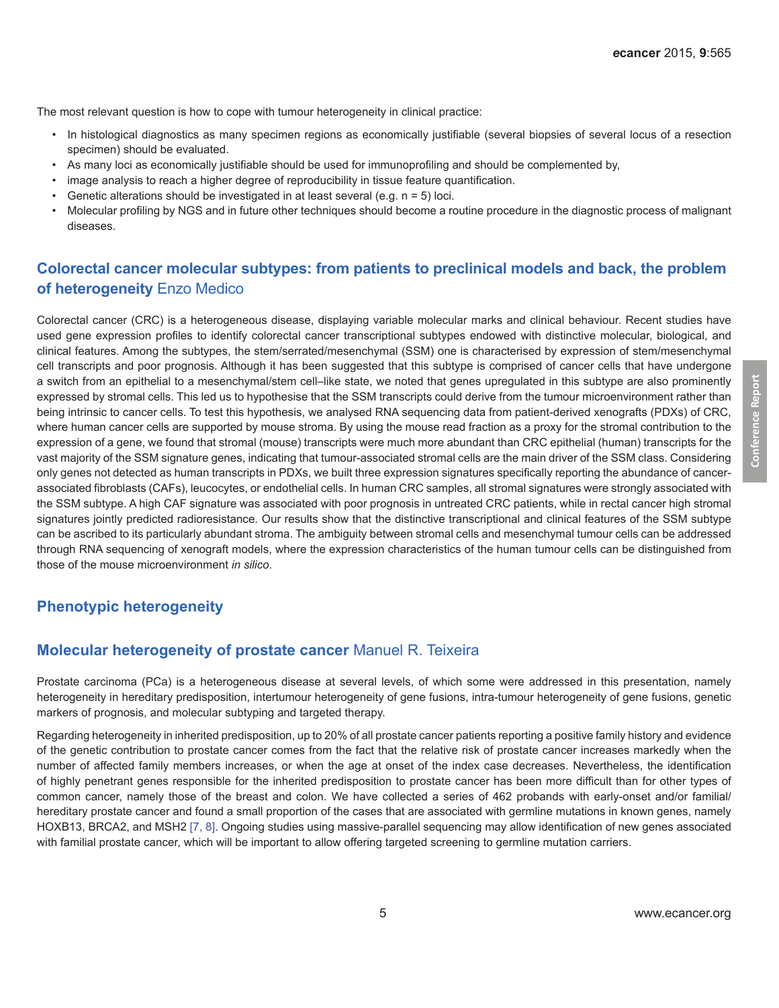The most relevant question is how to cope with tumour heterogeneity in clinical practice:

- • In histological diagnostics as many specimen regions as economically justifiable (several biopsies of several locus of a resection specimen) should be evaluated.
- • As many loci as economically justifiable should be used for immunoprofiling and should be complemented by,
- image analysis to reach a higher degree of reproducibility in tissue feature quantification.
- Genetic alterations should be investigated in at least several (e.g.  $n = 5$ ) loci.
- • Molecular profiling by NGS and in future other techniques should become a routine procedure in the diagnostic process of malignant diseases.

# **Colorectal cancer molecular subtypes: from patients to preclinical models and back, the problem of heterogeneity** Enzo Medico

Colorectal cancer (CRC) is a heterogeneous disease, displaying variable molecular marks and clinical behaviour. Recent studies have used gene expression profiles to identify colorectal cancer transcriptional subtypes endowed with distinctive molecular, biological, and clinical features. Among the subtypes, the stem/serrated/mesenchymal (SSM) one is characterised by expression of stem/mesenchymal cell transcripts and poor prognosis. Although it has been suggested that this subtype is comprised of cancer cells that have undergone a switch from an epithelial to a mesenchymal/stem cell–like state, we noted that genes upregulated in this subtype are also prominently expressed by stromal cells. This led us to hypothesise that the SSM transcripts could derive from the tumour microenvironment rather than being intrinsic to cancer cells. To test this hypothesis, we analysed RNA sequencing data from patient-derived xenografts (PDXs) of CRC, where human cancer cells are supported by mouse stroma. By using the mouse read fraction as a proxy for the stromal contribution to the expression of a gene, we found that stromal (mouse) transcripts were much more abundant than CRC epithelial (human) transcripts for the vast majority of the SSM signature genes, indicating that tumour-associated stromal cells are the main driver of the SSM class. Considering only genes not detected as human transcripts in PDXs, we built three expression signatures specifically reporting the abundance of cancerassociated fibroblasts (CAFs), leucocytes, or endothelial cells. In human CRC samples, all stromal signatures were strongly associated with the SSM subtype. A high CAF signature was associated with poor prognosis in untreated CRC patients, while in rectal cancer high stromal signatures jointly predicted radioresistance. Our results show that the distinctive transcriptional and clinical features of the SSM subtype can be ascribed to its particularly abundant stroma. The ambiguity between stromal cells and mesenchymal tumour cells can be addressed through RNA sequencing of xenograft models, where the expression characteristics of the human tumour cells can be distinguished from those of the mouse microenvironment *in silico*.

## **Phenotypic heterogeneity**

#### **Molecular heterogeneity of prostate cancer** Manuel R. Teixeira

Prostate carcinoma (PCa) is a heterogeneous disease at several levels, of which some were addressed in this presentation, namely heterogeneity in hereditary predisposition, intertumour heterogeneity of gene fusions, intra-tumour heterogeneity of gene fusions, genetic markers of prognosis, and molecular subtyping and targeted therapy.

Regarding heterogeneity in inherited predisposition, up to 20% of all prostate cancer patients reporting a positive family history and evidence of the genetic contribution to prostate cancer comes from the fact that the relative risk of prostate cancer increases markedly when the number of affected family members increases, or when the age at onset of the index case decreases. Nevertheless, the identification of highly penetrant genes responsible for the inherited predisposition to prostate cancer has been more difficult than for other types of common cancer, namely those of the breast and colon. We have collected a series of 462 probands with early-onset and/or familial/ hereditary prostate cancer and found a small proportion of the cases that are associated with germline mutations in known genes, namely HOXB13, BRCA2, and MSH2 [\[7, 8\]](#page-11-0). Ongoing studies using massive-parallel sequencing may allow identification of new genes associated with familial prostate cancer, which will be important to allow offering targeted screening to germline mutation carriers.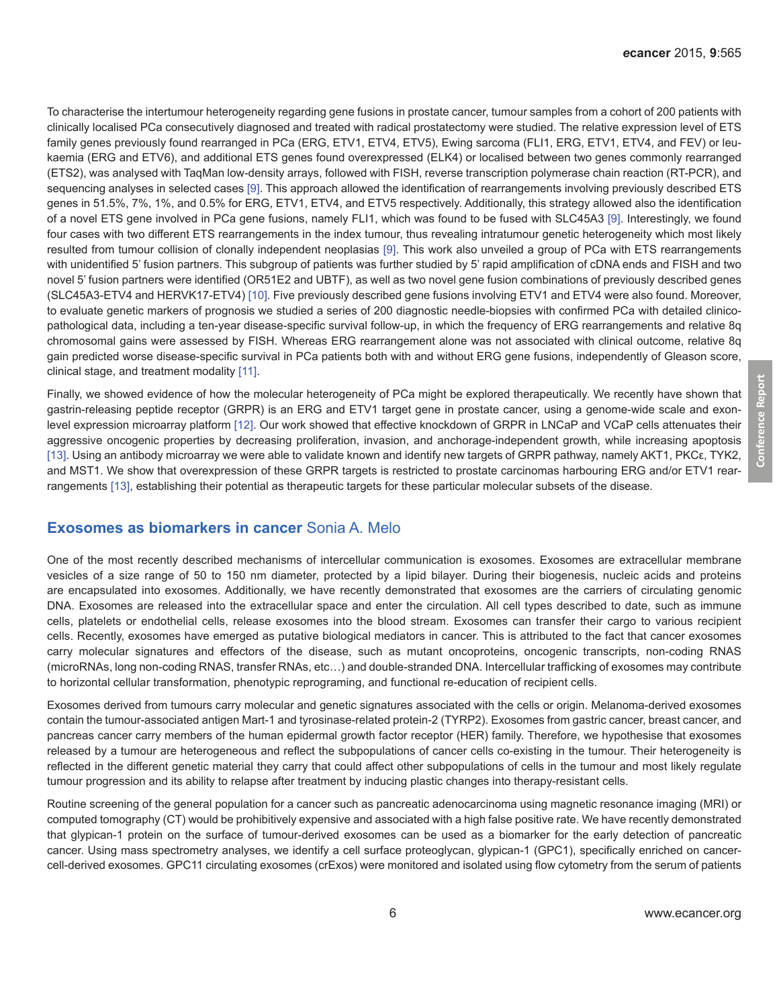To characterise the intertumour heterogeneity regarding gene fusions in prostate cancer, tumour samples from a cohort of 200 patients with clinically localised PCa consecutively diagnosed and treated with radical prostatectomy were studied. The relative expression level of ETS family genes previously found rearranged in PCa (ERG, ETV1, ETV4, ETV5), Ewing sarcoma (FLI1, ERG, ETV1, ETV4, and FEV) or leukaemia (ERG and ETV6), and additional ETS genes found overexpressed (ELK4) or localised between two genes commonly rearranged (ETS2), was analysed with TaqMan low-density arrays, followed with FISH, reverse transcription polymerase chain reaction (RT-PCR), and sequencing analyses in selected cases [\[9\]](#page-11-0). This approach allowed the identification of rearrangements involving previously described ETS genes in 51.5%, 7%, 1%, and 0.5% for ERG, ETV1, ETV4, and ETV5 respectively. Additionally, this strategy allowed also the identification of a novel ETS gene involved in PCa gene fusions, namely FLI1, which was found to be fused with SLC45A3 [\[9\].](#page-11-0) Interestingly, we found four cases with two different ETS rearrangements in the index tumour, thus revealing intratumour genetic heterogeneity which most likely resulted from tumour collision of clonally independent neoplasias [\[9\]](#page-11-0). This work also unveiled a group of PCa with ETS rearrangements with unidentified 5' fusion partners. This subgroup of patients was further studied by 5' rapid amplification of cDNA ends and FISH and two novel 5' fusion partners were identified (OR51E2 and UBTF), as well as two novel gene fusion combinations of previously described genes (SLC45A3-ETV4 and HERVK17-ETV4) [\[10\]](#page-11-0). Five previously described gene fusions involving ETV1 and ETV4 were also found. Moreover, to evaluate genetic markers of prognosis we studied a series of 200 diagnostic needle-biopsies with confirmed PCa with detailed clinicopathological data, including a ten-year disease-specific survival follow-up, in which the frequency of ERG rearrangements and relative 8q chromosomal gains were assessed by FISH. Whereas ERG rearrangement alone was not associated with clinical outcome, relative 8q gain predicted worse disease-specific survival in PCa patients both with and without ERG gene fusions, independently of Gleason score, clinical stage, and treatment modality [\[11\].](#page-11-0)

Finally, we showed evidence of how the molecular heterogeneity of PCa might be explored therapeutically. We recently have shown that gastrin-releasing peptide receptor (GRPR) is an ERG and ETV1 target gene in prostate cancer, using a genome-wide scale and exonlevel expression microarray platform [\[12\]](#page-11-0). Our work showed that effective knockdown of GRPR in LNCaP and VCaP cells attenuates their aggressive oncogenic properties by decreasing proliferation, invasion, and anchorage-independent growth, while increasing apoptosis [\[13\]](#page-11-0). Using an antibody microarray we were able to validate known and identify new targets of GRPR pathway, namely AKT1, PKCε, TYK2, and MST1. We show that overexpression of these GRPR targets is restricted to prostate carcinomas harbouring ERG and/or ETV1 rearrangements [\[13\]](#page-11-0), establishing their potential as therapeutic targets for these particular molecular subsets of the disease.

#### **Exosomes as biomarkers in cancer** Sonia A. Melo

One of the most recently described mechanisms of intercellular communication is exosomes. Exosomes are extracellular membrane vesicles of a size range of 50 to 150 nm diameter, protected by a lipid bilayer. During their biogenesis, nucleic acids and proteins are encapsulated into exosomes. Additionally, we have recently demonstrated that exosomes are the carriers of circulating genomic DNA. Exosomes are released into the extracellular space and enter the circulation. All cell types described to date, such as immune cells, platelets or endothelial cells, release exosomes into the blood stream. Exosomes can transfer their cargo to various recipient cells. Recently, exosomes have emerged as putative biological mediators in cancer. This is attributed to the fact that cancer exosomes carry molecular signatures and effectors of the disease, such as mutant oncoproteins, oncogenic transcripts, non-coding RNAS (microRNAs, long non-coding RNAS, transfer RNAs, etc…) and double-stranded DNA. Intercellular trafficking of exosomes may contribute to horizontal cellular transformation, phenotypic reprograming, and functional re-education of recipient cells.

Exosomes derived from tumours carry molecular and genetic signatures associated with the cells or origin. Melanoma-derived exosomes contain the tumour-associated antigen Mart-1 and tyrosinase-related protein-2 (TYRP2). Exosomes from gastric cancer, breast cancer, and pancreas cancer carry members of the human epidermal growth factor receptor (HER) family. Therefore, we hypothesise that exosomes released by a tumour are heterogeneous and reflect the subpopulations of cancer cells co-existing in the tumour. Their heterogeneity is reflected in the different genetic material they carry that could affect other subpopulations of cells in the tumour and most likely regulate tumour progression and its ability to relapse after treatment by inducing plastic changes into therapy-resistant cells.

Routine screening of the general population for a cancer such as pancreatic adenocarcinoma using magnetic resonance imaging (MRI) or computed tomography (CT) would be prohibitively expensive and associated with a high false positive rate. We have recently demonstrated that glypican-1 protein on the surface of tumour-derived exosomes can be used as a biomarker for the early detection of pancreatic cancer. Using mass spectrometry analyses, we identify a cell surface proteoglycan, glypican-1 (GPC1), specifically enriched on cancercell-derived exosomes. GPC11 circulating exosomes (crExos) were monitored and isolated using flow cytometry from the serum of patients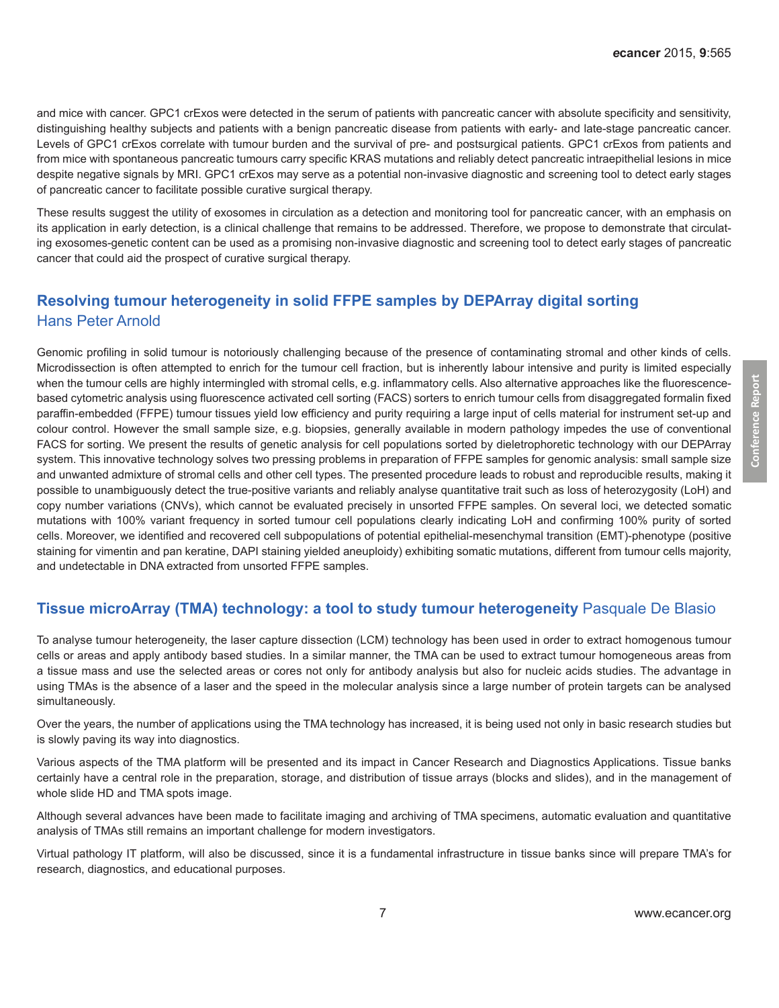and mice with cancer. GPC1 crExos were detected in the serum of patients with pancreatic cancer with absolute specificity and sensitivity, distinguishing healthy subjects and patients with a benign pancreatic disease from patients with early- and late-stage pancreatic cancer. Levels of GPC1 crExos correlate with tumour burden and the survival of pre- and postsurgical patients. GPC1 crExos from patients and from mice with spontaneous pancreatic tumours carry specific KRAS mutations and reliably detect pancreatic intraepithelial lesions in mice despite negative signals by MRI. GPC1 crExos may serve as a potential non-invasive diagnostic and screening tool to detect early stages of pancreatic cancer to facilitate possible curative surgical therapy.

These results suggest the utility of exosomes in circulation as a detection and monitoring tool for pancreatic cancer, with an emphasis on its application in early detection, is a clinical challenge that remains to be addressed. Therefore, we propose to demonstrate that circulating exosomes-genetic content can be used as a promising non-invasive diagnostic and screening tool to detect early stages of pancreatic cancer that could aid the prospect of curative surgical therapy.

# **Resolving tumour heterogeneity in solid FFPE samples by DEPArray digital sorting**  Hans Peter Arnold

Genomic profiling in solid tumour is notoriously challenging because of the presence of contaminating stromal and other kinds of cells. Microdissection is often attempted to enrich for the tumour cell fraction, but is inherently labour intensive and purity is limited especially when the tumour cells are highly intermingled with stromal cells, e.g. inflammatory cells. Also alternative approaches like the fluorescencebased cytometric analysis using fluorescence activated cell sorting (FACS) sorters to enrich tumour cells from disaggregated formalin fixed paraffin-embedded (FFPE) tumour tissues yield low efficiency and purity requiring a large input of cells material for instrument set-up and colour control. However the small sample size, e.g. biopsies, generally available in modern pathology impedes the use of conventional FACS for sorting. We present the results of genetic analysis for cell populations sorted by dieletrophoretic technology with our DEPArray system. This innovative technology solves two pressing problems in preparation of FFPE samples for genomic analysis: small sample size and unwanted admixture of stromal cells and other cell types. The presented procedure leads to robust and reproducible results, making it possible to unambiguously detect the true-positive variants and reliably analyse quantitative trait such as loss of heterozygosity (LoH) and copy number variations (CNVs), which cannot be evaluated precisely in unsorted FFPE samples. On several loci, we detected somatic mutations with 100% variant frequency in sorted tumour cell populations clearly indicating LoH and confirming 100% purity of sorted cells. Moreover, we identified and recovered cell subpopulations of potential epithelial-mesenchymal transition (EMT)-phenotype (positive staining for vimentin and pan keratine, DAPI staining yielded aneuploidy) exhibiting somatic mutations, different from tumour cells majority, and undetectable in DNA extracted from unsorted FFPE samples.

#### **Tissue microArray (TMA) technology: a tool to study tumour heterogeneity** Pasquale De Blasio

To analyse tumour heterogeneity, the laser capture dissection (LCM) technology has been used in order to extract homogenous tumour cells or areas and apply antibody based studies. In a similar manner, the TMA can be used to extract tumour homogeneous areas from a tissue mass and use the selected areas or cores not only for antibody analysis but also for nucleic acids studies. The advantage in using TMAs is the absence of a laser and the speed in the molecular analysis since a large number of protein targets can be analysed simultaneously.

Over the years, the number of applications using the TMA technology has increased, it is being used not only in basic research studies but is slowly paving its way into diagnostics.

Various aspects of the TMA platform will be presented and its impact in Cancer Research and Diagnostics Applications. Tissue banks certainly have a central role in the preparation, storage, and distribution of tissue arrays (blocks and slides), and in the management of whole slide HD and TMA spots image.

Although several advances have been made to facilitate imaging and archiving of TMA specimens, automatic evaluation and quantitative analysis of TMAs still remains an important challenge for modern investigators.

Virtual pathology IT platform, will also be discussed, since it is a fundamental infrastructure in tissue banks since will prepare TMA's for research, diagnostics, and educational purposes.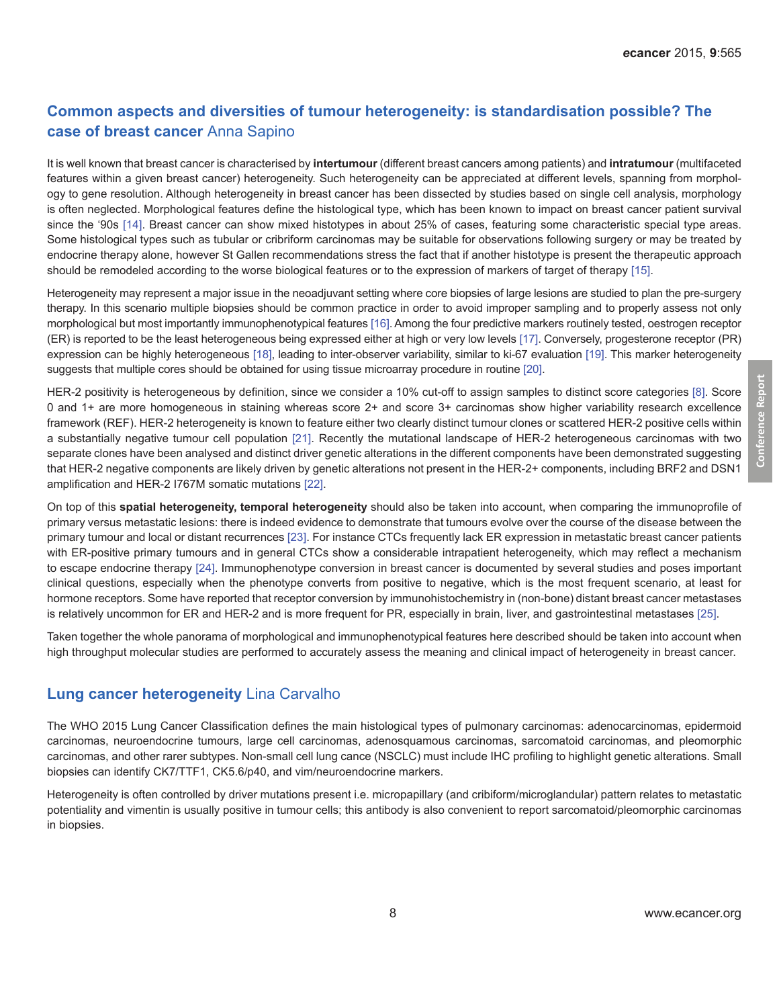# **Common aspects and diversities of tumour heterogeneity: is standardisation possible? The case of breast cancer** Anna Sapino

It is well known that breast cancer is characterised by **intertumour** (different breast cancers among patients) and **intratumour** (multifaceted features within a given breast cancer) heterogeneity. Such heterogeneity can be appreciated at different levels, spanning from morphology to gene resolution. Although heterogeneity in breast cancer has been dissected by studies based on single cell analysis, morphology is often neglected. Morphological features define the histological type, which has been known to impact on breast cancer patient survival since the '90s [\[14\].](#page-12-0) Breast cancer can show mixed histotypes in about 25% of cases, featuring some characteristic special type areas. Some histological types such as tubular or cribriform carcinomas may be suitable for observations following surgery or may be treated by endocrine therapy alone, however St Gallen recommendations stress the fact that if another histotype is present the therapeutic approach should be remodeled according to the worse biological features or to the expression of markers of target of therapy [\[15\]](#page-12-0).

Heterogeneity may represent a major issue in the neoadjuvant setting where core biopsies of large lesions are studied to plan the pre-surgery therapy. In this scenario multiple biopsies should be common practice in order to avoid improper sampling and to properly assess not only morphological but most importantly immunophenotypical features [\[16\]](#page-12-0). Among the four predictive markers routinely tested, oestrogen receptor (ER) is reported to be the least heterogeneous being expressed either at high or very low levels [\[17\]](#page-12-0). Conversely, progesterone receptor (PR) expression can be highly heterogeneous [\[18\],](#page-12-0) leading to inter-observer variability, similar to ki-67 evaluation [\[19\]](#page-12-0). This marker heterogeneity suggests that multiple cores should be obtained for using tissue microarray procedure in routine [\[20\]](#page-12-0).

HER-2 positivity is heterogeneous by definition, since we consider a 10% cut-off to assign samples to distinct score categories [\[8\]](#page-11-0). Score 0 and 1+ are more homogeneous in staining whereas score 2+ and score 3+ carcinomas show higher variability research excellence framework (REF). HER-2 heterogeneity is known to feature either two clearly distinct tumour clones or scattered HER-2 positive cells within a substantially negative tumour cell population [\[21\].](#page-12-0) Recently the mutational landscape of HER-2 heterogeneous carcinomas with two separate clones have been analysed and distinct driver genetic alterations in the different components have been demonstrated suggesting that HER-2 negative components are likely driven by genetic alterations not present in the HER-2+ components, including BRF2 and DSN1 amplification and HER-2 I767M somatic mutations [\[22\]](#page-12-0).

On top of this **spatial heterogeneity, temporal heterogeneity** should also be taken into account, when comparing the immunoprofile of primary versus metastatic lesions: there is indeed evidence to demonstrate that tumours evolve over the course of the disease between the primary tumour and local or distant recurrences [\[23\].](#page-12-0) For instance CTCs frequently lack ER expression in metastatic breast cancer patients with ER-positive primary tumours and in general CTCs show a considerable intrapatient heterogeneity, which may reflect a mechanism to escape endocrine therapy [\[24\].](#page-12-0) Immunophenotype conversion in breast cancer is documented by several studies and poses important clinical questions, especially when the phenotype converts from positive to negative, which is the most frequent scenario, at least for hormone receptors. Some have reported that receptor conversion by immunohistochemistry in (non-bone) distant breast cancer metastases is relatively uncommon for ER and HER-2 and is more frequent for PR, especially in brain, liver, and gastrointestinal metastases [\[25\]](#page-12-0).

Taken together the whole panorama of morphological and immunophenotypical features here described should be taken into account when high throughput molecular studies are performed to accurately assess the meaning and clinical impact of heterogeneity in breast cancer.

#### **Lung cancer heterogeneity** Lina Carvalho

The WHO 2015 Lung Cancer Classification defines the main histological types of pulmonary carcinomas: adenocarcinomas, epidermoid carcinomas, neuroendocrine tumours, large cell carcinomas, adenosquamous carcinomas, sarcomatoid carcinomas, and pleomorphic carcinomas, and other rarer subtypes. Non-small cell lung cance (NSCLC) must include IHC profiling to highlight genetic alterations. Small biopsies can identify CK7/TTF1, CK5.6/p40, and vim/neuroendocrine markers.

Heterogeneity is often controlled by driver mutations present i.e. micropapillary (and cribiform/microglandular) pattern relates to metastatic potentiality and vimentin is usually positive in tumour cells; this antibody is also convenient to report sarcomatoid/pleomorphic carcinomas in biopsies.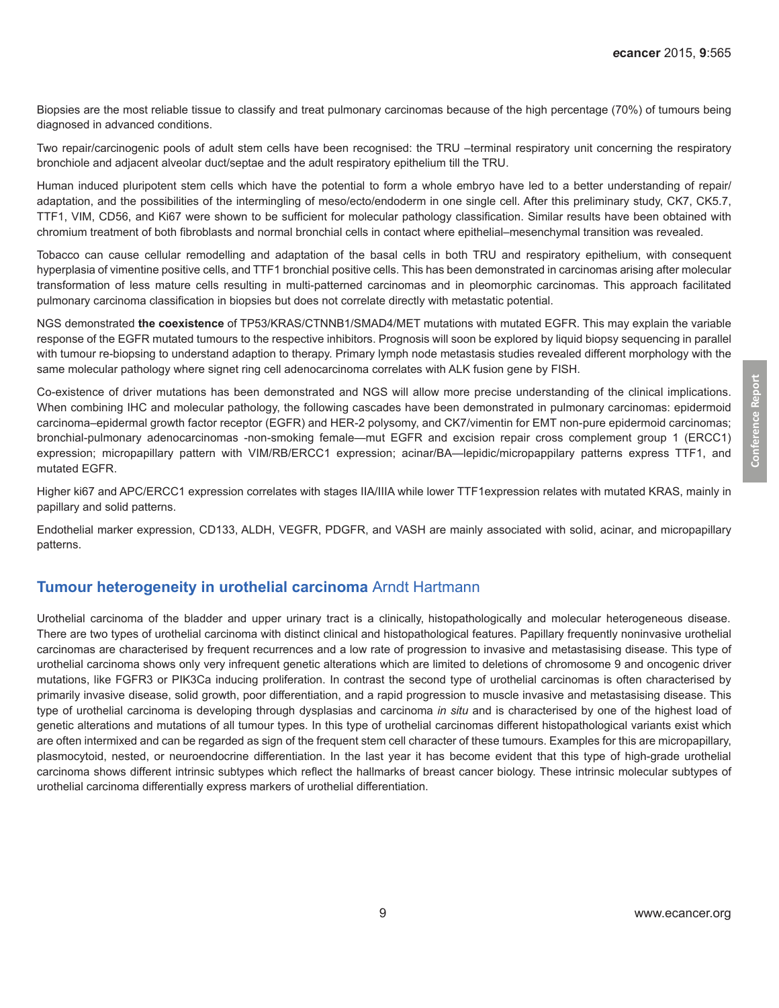Biopsies are the most reliable tissue to classify and treat pulmonary carcinomas because of the high percentage (70%) of tumours being diagnosed in advanced conditions.

Two repair/carcinogenic pools of adult stem cells have been recognised: the TRU -terminal respiratory unit concerning the respiratory bronchiole and adjacent alveolar duct/septae and the adult respiratory epithelium till the TRU.

Human induced pluripotent stem cells which have the potential to form a whole embryo have led to a better understanding of repair/ adaptation, and the possibilities of the intermingling of meso/ecto/endoderm in one single cell. After this preliminary study, CK7, CK5.7, TTF1, VIM, CD56, and Ki67 were shown to be sufficient for molecular pathology classification. Similar results have been obtained with chromium treatment of both fibroblasts and normal bronchial cells in contact where epithelial–mesenchymal transition was revealed.

Tobacco can cause cellular remodelling and adaptation of the basal cells in both TRU and respiratory epithelium, with consequent hyperplasia of vimentine positive cells, and TTF1 bronchial positive cells. This has been demonstrated in carcinomas arising after molecular transformation of less mature cells resulting in multi-patterned carcinomas and in pleomorphic carcinomas. This approach facilitated pulmonary carcinoma classification in biopsies but does not correlate directly with metastatic potential.

NGS demonstrated **the coexistence** of TP53/KRAS/CTNNB1/SMAD4/MET mutations with mutated EGFR. This may explain the variable response of the EGFR mutated tumours to the respective inhibitors. Prognosis will soon be explored by liquid biopsy sequencing in parallel with tumour re-biopsing to understand adaption to therapy. Primary lymph node metastasis studies revealed different morphology with the same molecular pathology where signet ring cell adenocarcinoma correlates with ALK fusion gene by FISH.

Co-existence of driver mutations has been demonstrated and NGS will allow more precise understanding of the clinical implications. When combining IHC and molecular pathology, the following cascades have been demonstrated in pulmonary carcinomas: epidermoid carcinoma–epidermal growth factor receptor (EGFR) and HER-2 polysomy, and CK7/vimentin for EMT non-pure epidermoid carcinomas; bronchial-pulmonary adenocarcinomas -non-smoking female—mut EGFR and excision repair cross complement group 1 (ERCC1) expression; micropapillary pattern with VIM/RB/ERCC1 expression; acinar/BA—lepidic/micropappilary patterns express TTF1, and mutated EGFR.

Higher ki67 and APC/ERCC1 expression correlates with stages IIA/IIIA while lower TTF1expression relates with mutated KRAS, mainly in papillary and solid patterns.

Endothelial marker expression, CD133, ALDH, VEGFR, PDGFR, and VASH are mainly associated with solid, acinar, and micropapillary patterns.

#### **Tumour heterogeneity in urothelial carcinoma** Arndt Hartmann

Urothelial carcinoma of the bladder and upper urinary tract is a clinically, histopathologically and molecular heterogeneous disease. There are two types of urothelial carcinoma with distinct clinical and histopathological features. Papillary frequently noninvasive urothelial carcinomas are characterised by frequent recurrences and a low rate of progression to invasive and metastasising disease. This type of urothelial carcinoma shows only very infrequent genetic alterations which are limited to deletions of chromosome 9 and oncogenic driver mutations, like FGFR3 or PIK3Ca inducing proliferation. In contrast the second type of urothelial carcinomas is often characterised by primarily invasive disease, solid growth, poor differentiation, and a rapid progression to muscle invasive and metastasising disease. This type of urothelial carcinoma is developing through dysplasias and carcinoma *in situ* and is characterised by one of the highest load of genetic alterations and mutations of all tumour types. In this type of urothelial carcinomas different histopathological variants exist which are often intermixed and can be regarded as sign of the frequent stem cell character of these tumours. Examples for this are micropapillary, plasmocytoid, nested, or neuroendocrine differentiation. In the last year it has become evident that this type of high-grade urothelial carcinoma shows different intrinsic subtypes which reflect the hallmarks of breast cancer biology. These intrinsic molecular subtypes of urothelial carcinoma differentially express markers of urothelial differentiation.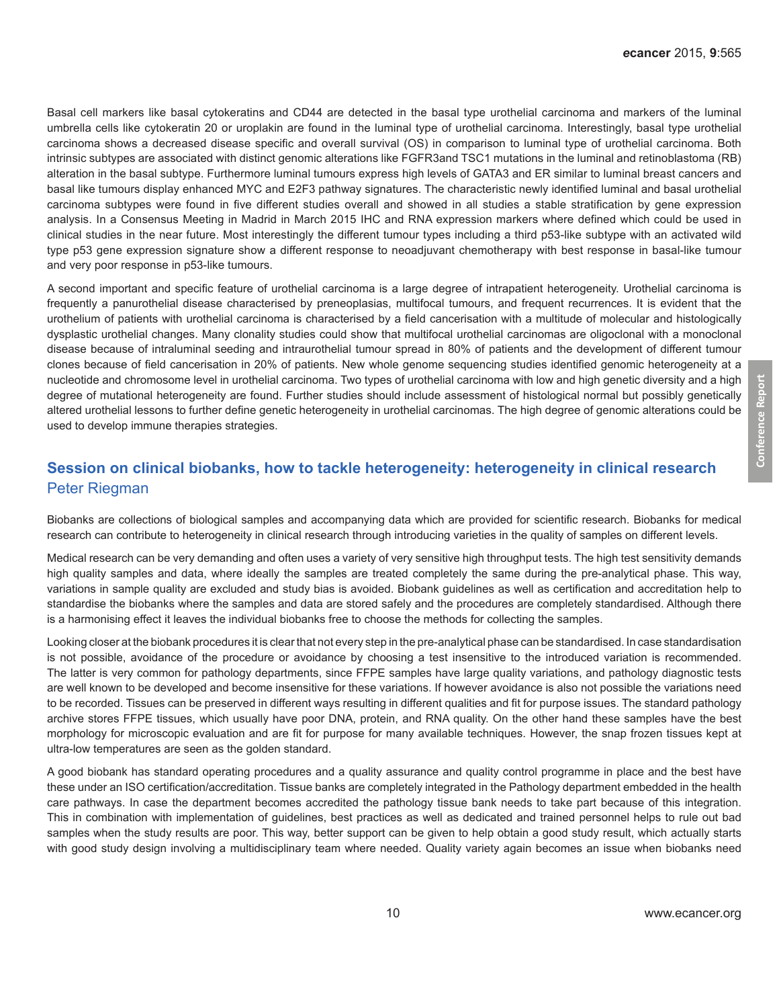Basal cell markers like basal cytokeratins and CD44 are detected in the basal type urothelial carcinoma and markers of the luminal umbrella cells like cytokeratin 20 or uroplakin are found in the luminal type of urothelial carcinoma. Interestingly, basal type urothelial carcinoma shows a decreased disease specific and overall survival (OS) in comparison to luminal type of urothelial carcinoma. Both intrinsic subtypes are associated with distinct genomic alterations like FGFR3and TSC1 mutations in the luminal and retinoblastoma (RB) alteration in the basal subtype. Furthermore luminal tumours express high levels of GATA3 and ER similar to luminal breast cancers and basal like tumours display enhanced MYC and E2F3 pathway signatures. The characteristic newly identified luminal and basal urothelial carcinoma subtypes were found in five different studies overall and showed in all studies a stable stratification by gene expression analysis. In a Consensus Meeting in Madrid in March 2015 IHC and RNA expression markers where defined which could be used in clinical studies in the near future. Most interestingly the different tumour types including a third p53-like subtype with an activated wild type p53 gene expression signature show a different response to neoadjuvant chemotherapy with best response in basal-like tumour and very poor response in p53-like tumours.

A second important and specific feature of urothelial carcinoma is a large degree of intrapatient heterogeneity. Urothelial carcinoma is frequently a panurothelial disease characterised by preneoplasias, multifocal tumours, and frequent recurrences. It is evident that the urothelium of patients with urothelial carcinoma is characterised by a field cancerisation with a multitude of molecular and histologically dysplastic urothelial changes. Many clonality studies could show that multifocal urothelial carcinomas are oligoclonal with a monoclonal disease because of intraluminal seeding and intraurothelial tumour spread in 80% of patients and the development of different tumour clones because of field cancerisation in 20% of patients. New whole genome sequencing studies identified genomic heterogeneity at a nucleotide and chromosome level in urothelial carcinoma. Two types of urothelial carcinoma with low and high genetic diversity and a high degree of mutational heterogeneity are found. Further studies should include assessment of histological normal but possibly genetically altered urothelial lessons to further define genetic heterogeneity in urothelial carcinomas. The high degree of genomic alterations could be used to develop immune therapies strategies.

# **Session on clinical biobanks, how to tackle heterogeneity: heterogeneity in clinical research**  Peter Riegman

Biobanks are collections of biological samples and accompanying data which are provided for scientific research. Biobanks for medical research can contribute to heterogeneity in clinical research through introducing varieties in the quality of samples on different levels.

Medical research can be very demanding and often uses a variety of very sensitive high throughput tests. The high test sensitivity demands high quality samples and data, where ideally the samples are treated completely the same during the pre-analytical phase. This way, variations in sample quality are excluded and study bias is avoided. Biobank guidelines as well as certification and accreditation help to standardise the biobanks where the samples and data are stored safely and the procedures are completely standardised. Although there is a harmonising effect it leaves the individual biobanks free to choose the methods for collecting the samples.

Looking closer at the biobank procedures it is clear that not every step in the pre-analytical phase can be standardised. In case standardisation is not possible, avoidance of the procedure or avoidance by choosing a test insensitive to the introduced variation is recommended. The latter is very common for pathology departments, since FFPE samples have large quality variations, and pathology diagnostic tests are well known to be developed and become insensitive for these variations. If however avoidance is also not possible the variations need to be recorded. Tissues can be preserved in different ways resulting in different qualities and fit for purpose issues. The standard pathology archive stores FFPE tissues, which usually have poor DNA, protein, and RNA quality. On the other hand these samples have the best morphology for microscopic evaluation and are fit for purpose for many available techniques. However, the snap frozen tissues kept at ultra-low temperatures are seen as the golden standard.

A good biobank has standard operating procedures and a quality assurance and quality control programme in place and the best have these under an ISO certification/accreditation. Tissue banks are completely integrated in the Pathology department embedded in the health care pathways. In case the department becomes accredited the pathology tissue bank needs to take part because of this integration. This in combination with implementation of guidelines, best practices as well as dedicated and trained personnel helps to rule out bad samples when the study results are poor. This way, better support can be given to help obtain a good study result, which actually starts with good study design involving a multidisciplinary team where needed. Quality variety again becomes an issue when biobanks need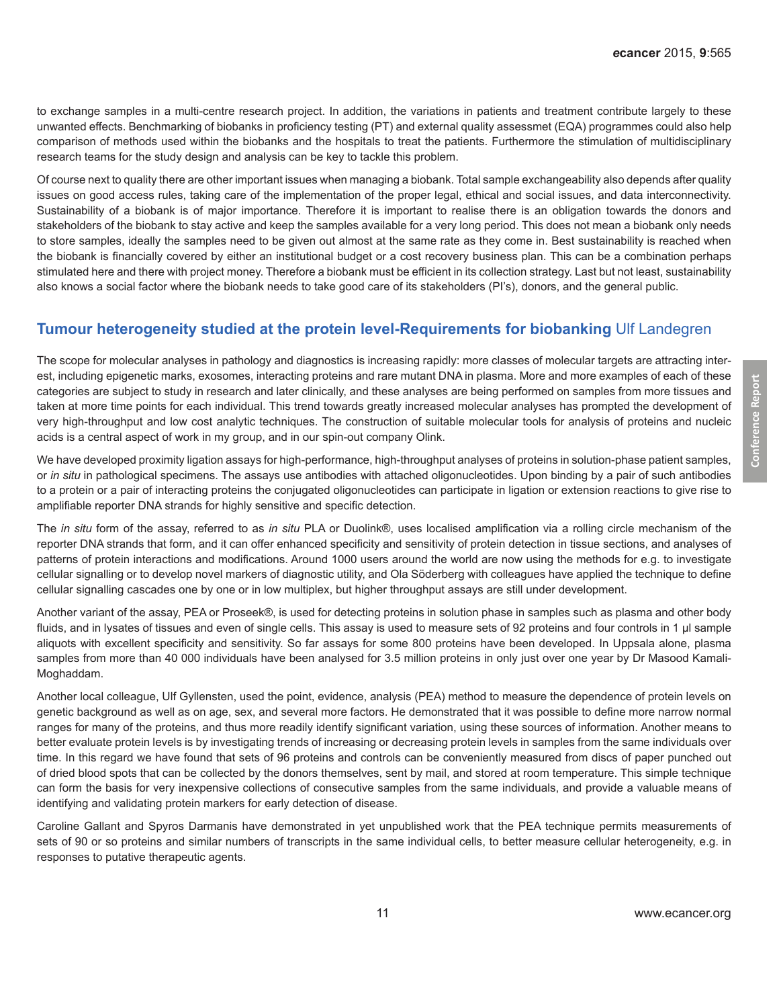to exchange samples in a multi-centre research project. In addition, the variations in patients and treatment contribute largely to these unwanted effects. Benchmarking of biobanks in proficiency testing (PT) and external quality assessmet (EQA) programmes could also help comparison of methods used within the biobanks and the hospitals to treat the patients. Furthermore the stimulation of multidisciplinary research teams for the study design and analysis can be key to tackle this problem.

Of course next to quality there are other important issues when managing a biobank. Total sample exchangeability also depends after quality issues on good access rules, taking care of the implementation of the proper legal, ethical and social issues, and data interconnectivity. Sustainability of a biobank is of major importance. Therefore it is important to realise there is an obligation towards the donors and stakeholders of the biobank to stay active and keep the samples available for a very long period. This does not mean a biobank only needs to store samples, ideally the samples need to be given out almost at the same rate as they come in. Best sustainability is reached when the biobank is financially covered by either an institutional budget or a cost recovery business plan. This can be a combination perhaps stimulated here and there with project money. Therefore a biobank must be efficient in its collection strategy. Last but not least, sustainability also knows a social factor where the biobank needs to take good care of its stakeholders (PI's), donors, and the general public.

## **Tumour heterogeneity studied at the protein level-Requirements for biobanking** Ulf Landegren

The scope for molecular analyses in pathology and diagnostics is increasing rapidly: more classes of molecular targets are attracting interest, including epigenetic marks, exosomes, interacting proteins and rare mutant DNA in plasma. More and more examples of each of these categories are subject to study in research and later clinically, and these analyses are being performed on samples from more tissues and taken at more time points for each individual. This trend towards greatly increased molecular analyses has prompted the development of very high-throughput and low cost analytic techniques. The construction of suitable molecular tools for analysis of proteins and nucleic acids is a central aspect of work in my group, and in our spin-out company Olink.

We have developed proximity ligation assays for high-performance, high-throughput analyses of proteins in solution-phase patient samples, or *in situ* in pathological specimens. The assays use antibodies with attached oligonucleotides. Upon binding by a pair of such antibodies to a protein or a pair of interacting proteins the conjugated oligonucleotides can participate in ligation or extension reactions to give rise to amplifiable reporter DNA strands for highly sensitive and specific detection.

The *in situ* form of the assay, referred to as *in situ* PLA or Duolink®, uses localised amplification via a rolling circle mechanism of the reporter DNA strands that form, and it can offer enhanced specificity and sensitivity of protein detection in tissue sections, and analyses of patterns of protein interactions and modifications. Around 1000 users around the world are now using the methods for e.g. to investigate cellular signalling or to develop novel markers of diagnostic utility, and Ola Söderberg with colleagues have applied the technique to define cellular signalling cascades one by one or in low multiplex, but higher throughput assays are still under development.

Another variant of the assay, PEA or Proseek®, is used for detecting proteins in solution phase in samples such as plasma and other body fluids, and in lysates of tissues and even of single cells. This assay is used to measure sets of 92 proteins and four controls in 1 µl sample aliquots with excellent specificity and sensitivity. So far assays for some 800 proteins have been developed. In Uppsala alone, plasma samples from more than 40 000 individuals have been analysed for 3.5 million proteins in only just over one year by Dr Masood Kamali-Moghaddam.

Another local colleague, Ulf Gyllensten, used the point, evidence, analysis (PEA) method to measure the dependence of protein levels on genetic background as well as on age, sex, and several more factors. He demonstrated that it was possible to define more narrow normal ranges for many of the proteins, and thus more readily identify significant variation, using these sources of information. Another means to better evaluate protein levels is by investigating trends of increasing or decreasing protein levels in samples from the same individuals over time. In this regard we have found that sets of 96 proteins and controls can be conveniently measured from discs of paper punched out of dried blood spots that can be collected by the donors themselves, sent by mail, and stored at room temperature. This simple technique can form the basis for very inexpensive collections of consecutive samples from the same individuals, and provide a valuable means of identifying and validating protein markers for early detection of disease.

Caroline Gallant and Spyros Darmanis have demonstrated in yet unpublished work that the PEA technique permits measurements of sets of 90 or so proteins and similar numbers of transcripts in the same individual cells, to better measure cellular heterogeneity, e.g. in responses to putative therapeutic agents.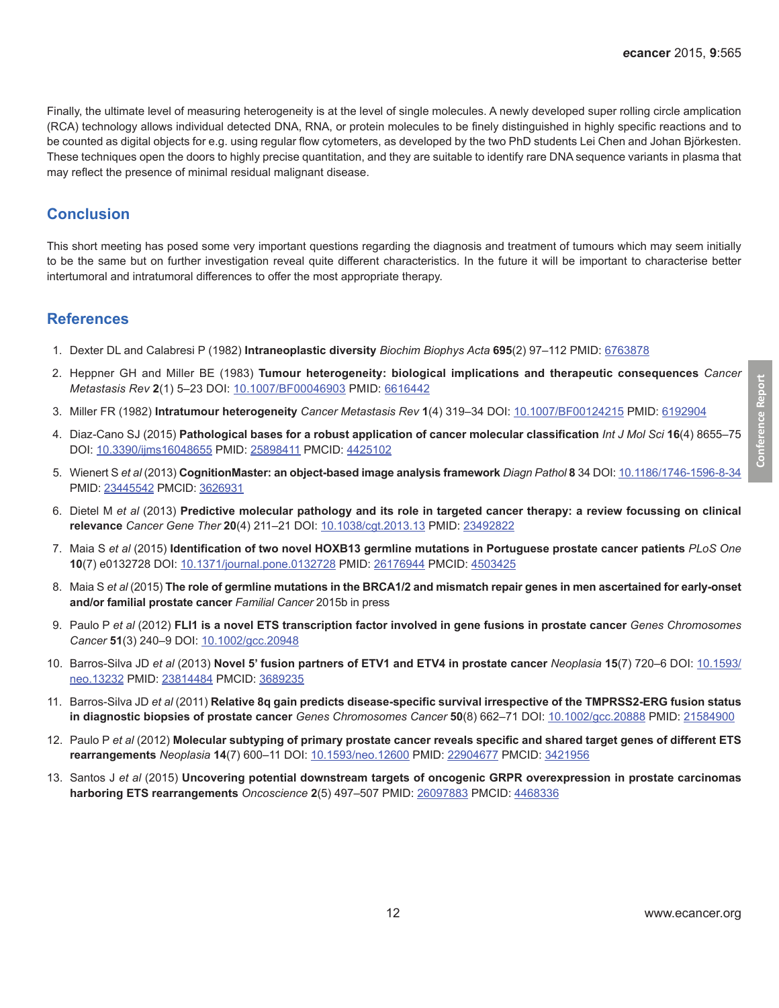<span id="page-11-0"></span>Finally, the ultimate level of measuring heterogeneity is at the level of single molecules. A newly developed super rolling circle amplication (RCA) technology allows individual detected DNA, RNA, or protein molecules to be finely distinguished in highly specific reactions and to be counted as digital objects for e.g. using regular flow cytometers, as developed by the two PhD students Lei Chen and Johan Björkesten. These techniques open the doors to highly precise quantitation, and they are suitable to identify rare DNA sequence variants in plasma that may reflect the presence of minimal residual malignant disease.

## **Conclusion**

This short meeting has posed some very important questions regarding the diagnosis and treatment of tumours which may seem initially to be the same but on further investigation reveal quite different characteristics. In the future it will be important to characterise better intertumoral and intratumoral differences to offer the most appropriate therapy.

#### **References**

- 1. Dexter DL and Calabresi P (1982) **Intraneoplastic diversity** *Biochim Biophys Acta* **695**(2) 97–112 PMID: [6763878](http://www.ncbi.nlm.nih.gov/pubmed/6763878)
- 2. Heppner GH and Miller BE (1983) **Tumour heterogeneity: biological implications and therapeutic consequences** *Cancer Metastasis Rev* **2**(1) 5–23 DOI: [10.1007/BF00046903](http://dx.doi.org/10.1007/BF00046903) PMID: [6616442](http://www.ncbi.nlm.nih.gov/pubmed/6616442)
- 3. Miller FR (1982) **Intratumour heterogeneity** *Cancer Metastasis Rev* **1**(4) 319–34 DOI: [10.1007/BF00124215](http://dx.doi.org/10.1007/BF00124215) PMID: [6192904](http://www.ncbi.nlm.nih.gov/pubmed/6192904)
- 4. Diaz-Cano SJ (2015) **Pathological bases for a robust application of cancer molecular classification** *Int J Mol Sci* **16**(4) 8655–75 DOI: [10.3390/ijms16048655](http://dx.doi.org/10.3390/ijms16048655) PMID: [25898411](http://www.ncbi.nlm.nih.gov/pubmed/25898411) PMCID: [4425102](http://www.ncbi.nlm.nih.gov/pmc/articles/PMC4425102)
- 5. Wienert S *et al* (2013) **CognitionMaster: an object-based image analysis framework** *Diagn Pathol* **8** 34 DOI: [10.1186/1746-1596-8-34](http://dx.doi.org/10.1186/1746-1596-8-34) PMID: [23445542](http://www.ncbi.nlm.nih.gov/pubmed/23445542) PMCID: [3626931](http://www.ncbi.nlm.nih.gov/pmc/articles/PMC3626931)
- 6. Dietel M *et al* (2013) **Predictive molecular pathology and its role in targeted cancer therapy: a review focussing on clinical relevance** *Cancer Gene Ther* **20**(4) 211–21 DOI: [10.1038/cgt.2013.13](http://dx.doi.org/10.1038/cgt.2013.13) PMID: [23492822](http://www.ncbi.nlm.nih.gov/pubmed/23492822)
- 7. Maia S *et al* (2015) **Identification of two novel HOXB13 germline mutations in Portuguese prostate cancer patients** *PLoS One* **10**(7) e0132728 DOI: [10.1371/journal.pone.0132728](http://dx.doi.org/10.1371/journal.pone.0132728) PMID: [26176944](http://www.ncbi.nlm.nih.gov/pubmed/26176944) PMCID: [4503425](http://www.ncbi.nlm.nih.gov/pmc/articles/PMC4503425)
- 8. Maia S *et al* (2015) **The role of germline mutations in the BRCA1/2 and mismatch repair genes in men ascertained for early-onset and/or familial prostate cancer** *Familial Cancer* 2015b in press
- 9. Paulo P *et al* (2012) **FLI1 is a novel ETS transcription factor involved in gene fusions in prostate cancer** *Genes Chromosomes Cancer* **51**(3) 240–9 DOI: [10.1002/gcc.20948](http://dx.doi.org/10.1002/gcc.20948)
- 10. Barros-Silva JD *et al* (2013) **Novel 5' fusion partners of ETV1 and ETV4 in prostate cancer** *Neoplasia* **15**(7) 720–6 DOI: [10.1593/](http://dx.doi.org/10.1593/neo.13232) [neo.13232](http://dx.doi.org/10.1593/neo.13232) PMID: [23814484](http://www.ncbi.nlm.nih.gov/pubmed/23814484) PMCID: [3689235](http://www.ncbi.nlm.nih.gov/pmc/articles/PMC3689235)
- 11. Barros-Silva JD *et al* (2011) **Relative 8q gain predicts disease-specific survival irrespective of the TMPRSS2-ERG fusion status in diagnostic biopsies of prostate cancer** *Genes Chromosomes Cancer* **50**(8) 662–71 DOI: [10.1002/gcc.20888](http://dx.doi.org/10.1002/gcc.20888) PMID: [21584900](http://www.ncbi.nlm.nih.gov/pubmed/21584900)
- 12. Paulo P *et al* (2012) **Molecular subtyping of primary prostate cancer reveals specific and shared target genes of different ETS rearrangements** *Neoplasia* **14**(7) 600–11 DOI: [10.1593/neo.12600](http://dx.doi.org/10.1593/neo.12600) PMID: [22904677](http://www.ncbi.nlm.nih.gov/pubmed/22904677) PMCID: [3421956](http://www.ncbi.nlm.nih.gov/pmc/articles/PMC3421956)
- 13. Santos J *et al* (2015) **Uncovering potential downstream targets of oncogenic GRPR overexpression in prostate carcinomas harboring ETS rearrangements** *Oncoscience* **2**(5) 497–507 PMID: [26097883](http://www.ncbi.nlm.nih.gov/pubmed/26097883) PMCID: [4468336](http://www.ncbi.nlm.nih.gov/pmc/articles/PMC4468336)